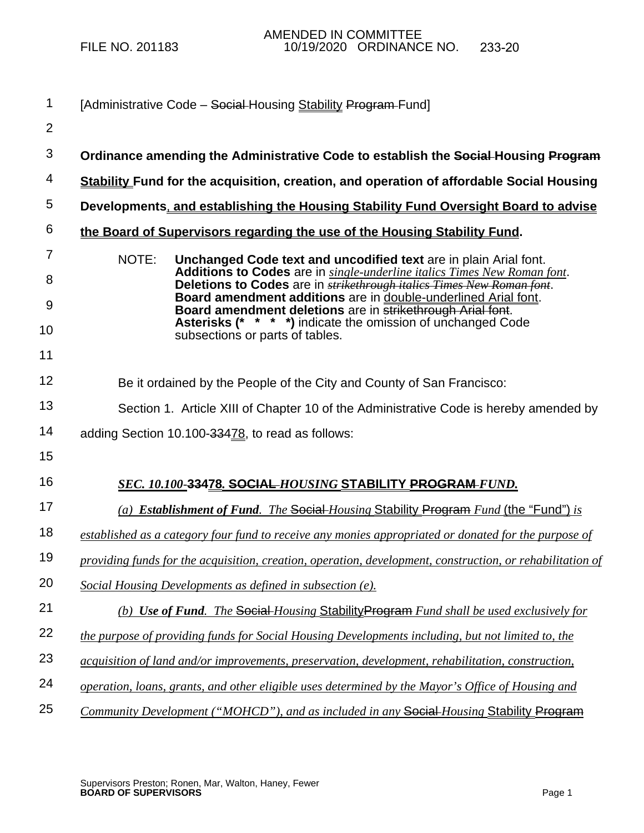| $\mathbf 1$         | [Administrative Code – Social-Housing Stability Program-Fund]                                                                                                                                                                          |
|---------------------|----------------------------------------------------------------------------------------------------------------------------------------------------------------------------------------------------------------------------------------|
| $\overline{2}$      |                                                                                                                                                                                                                                        |
| 3                   | Ordinance amending the Administrative Code to establish the Social Housing Program                                                                                                                                                     |
| 4                   | <b>Stability Fund for the acquisition, creation, and operation of affordable Social Housing</b>                                                                                                                                        |
| 5                   | Developments, and establishing the Housing Stability Fund Oversight Board to advise                                                                                                                                                    |
| 6                   | the Board of Supervisors regarding the use of the Housing Stability Fund.                                                                                                                                                              |
| $\overline{7}$<br>8 | NOTE:<br>Unchanged Code text and uncodified text are in plain Arial font.<br>Additions to Codes are in single-underline italics Times New Roman font.<br>Deletions to Codes are in <b>strikethrough italics Times New Roman font</b> . |
| 9                   | Board amendment additions are in double-underlined Arial font.<br>Board amendment deletions are in strikethrough Arial font.                                                                                                           |
| 10                  | Asterisks (* * * *) indicate the omission of unchanged Code<br>subsections or parts of tables.                                                                                                                                         |
| 11                  |                                                                                                                                                                                                                                        |
| 12                  | Be it ordained by the People of the City and County of San Francisco:                                                                                                                                                                  |
| 13                  | Section 1. Article XIII of Chapter 10 of the Administrative Code is hereby amended by                                                                                                                                                  |
| 14                  | adding Section 10.100-33478, to read as follows:                                                                                                                                                                                       |
| 15                  |                                                                                                                                                                                                                                        |
| 16                  | <u>SEC. 10.100-33478. SOCIAL-HOUSING STABILITY PROGRAM-FUND.</u>                                                                                                                                                                       |
| 17                  | (a) Establishment of Fund. The Social Housing Stability Program Fund (the "Fund") is                                                                                                                                                   |
| 18                  | established as a category four fund to receive any monies appropriated or donated for the purpose of                                                                                                                                   |
| 19                  | providing funds for the acquisition, creation, operation, development, construction, or rehabilitation of                                                                                                                              |
| 20                  | Social Housing Developments as defined in subsection (e).                                                                                                                                                                              |
| 21                  | (b) Use of Fund. The Social-Housing Stability Program Fund shall be used exclusively for                                                                                                                                               |
| 22                  | the purpose of providing funds for Social Housing Developments including, but not limited to, the                                                                                                                                      |
| 23                  | acquisition of land and/or improvements, preservation, development, rehabilitation, construction,                                                                                                                                      |
| 24                  | operation, loans, grants, and other eligible uses determined by the Mayor's Office of Housing and                                                                                                                                      |
|                     |                                                                                                                                                                                                                                        |

25 *Community Development ("MOHCD"), and as included in any* **Social** *Housing* Stability Program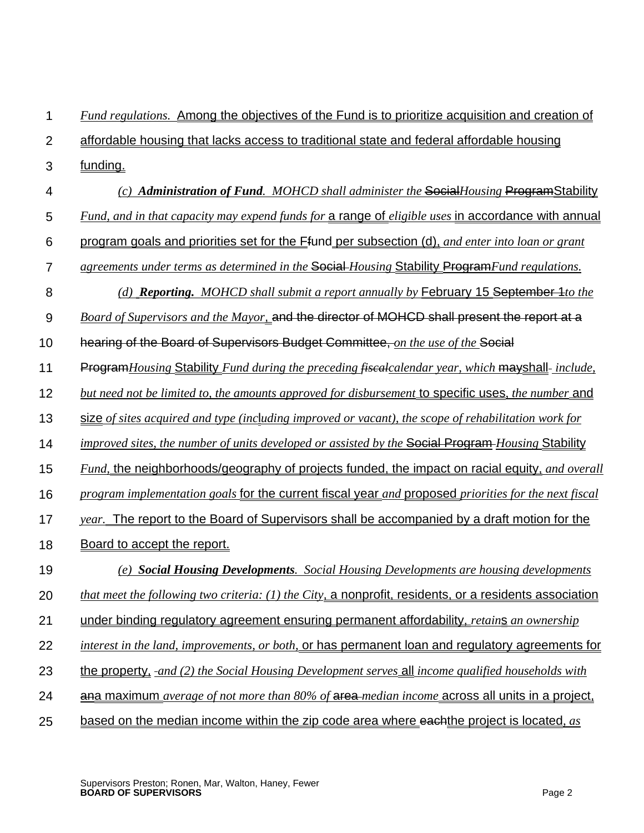## 1 *Fund regulations.* Among the objectives of the Fund is to prioritize acquisition and creation of

- $\mathfrak{p}$ affordable housing that lacks access to traditional state and federal affordable housing
- 3 funding.
- 4 *(c) Administration of Fund. MOHCD shall administer the* Social*Housing* ProgramStability
- 5 *Fund, and in that capacity may expend funds for* a range of *eligible uses* in accordance with annual
- 6 program goals and priorities set for the Ffund per subsection (d), *and enter into loan or grant*
- 7 *agreements under terms as determined in the* Social *Housing* Stability Program*Fund regulations.*
- 8 *(d) Reporting. MOHCD shall submit a report annually by* February 15 September 1*to the*
- 9 *Board of Supervisors and the Mayor*, and the director of MOHCD shall present the report at a
- 10 hearing of the Board of Supervisors Budget Committee, *on the use of the* Social
- 11 **Program***Housing* Stability *Fund during the preceding fisealcalendar year, which* mayshall-*include,*
- 12 *but need not be limited to, the amounts approved for disbursement* to specific uses*, the number* and
- 13 size *of sites acquired and type (inc*l*uding improved or vacant), the scope of rehabilitation work for*
- 14 *improved sites, the number of units developed or assisted by the* Social Program *Housing* Stability
- 15 *Fund,* the neighborhoods/geography of projects funded, the impact on racial equity, *and overall*
- 16 *program implementation goals* for the current fiscal year *and* proposed *priorities for the next fiscal*
- 17 *year.* The report to the Board of Supervisors shall be accompanied by a draft motion for the
- 18 Board to accept the report.
- 19 *(e) Social Housing Developments. Social Housing Developments are housing developments*
- 20 *that meet the following two criteria: (1) the City*, a nonprofit, residents, or a residents association
- 21 under binding regulatory agreement ensuring permanent affordability, *retain*s *an ownership*
- 22 *interest in the land, improvements, or both,* or has permanent loan and regulatory agreements for
- 23 the property, *and (2) the Social Housing Development serves* all *income qualified households with*
- 24 ana maximum *average of not more than 80% of* area *median income* across all units in a project,
- 25 based on the median income within the zip code area where eachthe project is located*, as*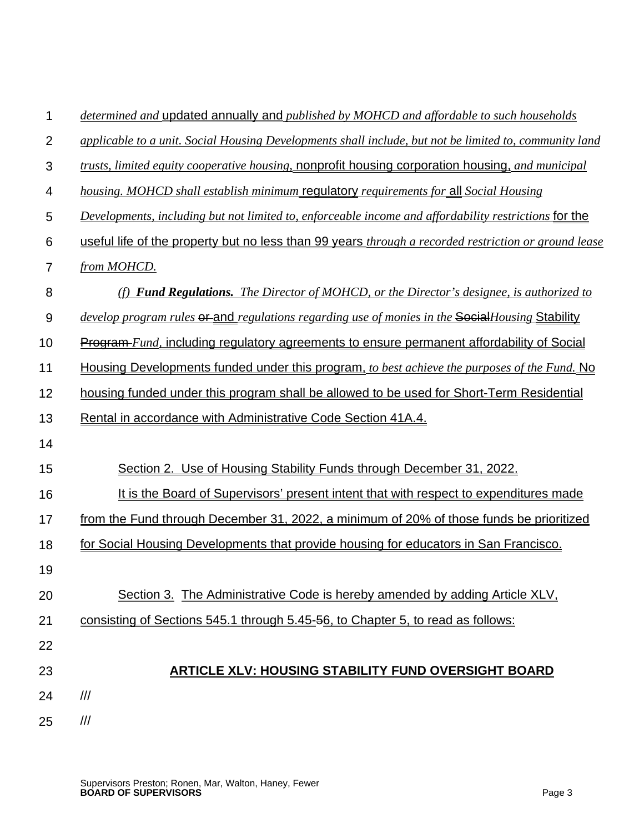| 1              | determined and updated annually and published by MOHCD and affordable to such households                    |
|----------------|-------------------------------------------------------------------------------------------------------------|
| $\overline{2}$ | applicable to a unit. Social Housing Developments shall include, but not be limited to, community land      |
| 3              | trusts, limited equity cooperative housing, nonprofit housing corporation housing, and municipal            |
| 4              | housing. MOHCD shall establish minimum regulatory requirements for all Social Housing                       |
| 5              | Developments, including but not limited to, enforceable income and affordability restrictions for the       |
| 6              | useful life of the property but no less than 99 years <i>through a recorded restriction or ground lease</i> |
| 7              | from MOHCD.                                                                                                 |
| 8              | (f) <b>Fund Regulations.</b> The Director of MOHCD, or the Director's designee, is authorized to            |
| 9              | develop program rules <del>or and</del> regulations regarding use of monies in the SocialHousing Stability  |
| 10             | <b>Program-</b> Fund, including regulatory agreements to ensure permanent affordability of Social           |
| 11             | Housing Developments funded under this program, to best achieve the purposes of the Fund. No                |
| 12             | housing funded under this program shall be allowed to be used for Short-Term Residential                    |
| 13             | Rental in accordance with Administrative Code Section 41A.4.                                                |
| 14             |                                                                                                             |
| 15             | Section 2. Use of Housing Stability Funds through December 31, 2022.                                        |
| 16             | It is the Board of Supervisors' present intent that with respect to expenditures made                       |
| 17             | from the Fund through December 31, 2022, a minimum of 20% of those funds be prioritized                     |
| 18             | for Social Housing Developments that provide housing for educators in San Francisco.                        |
| 19             |                                                                                                             |
| 20             | Section 3. The Administrative Code is hereby amended by adding Article XLV,                                 |
| 21             | consisting of Sections 545.1 through 5.45-56, to Chapter 5, to read as follows:                             |
| 22             |                                                                                                             |
| 23             | <b>ARTICLE XLV: HOUSING STABILITY FUND OVERSIGHT BOARD</b>                                                  |
| 24             | ///                                                                                                         |
| 25             | $^{\prime\prime\prime}$                                                                                     |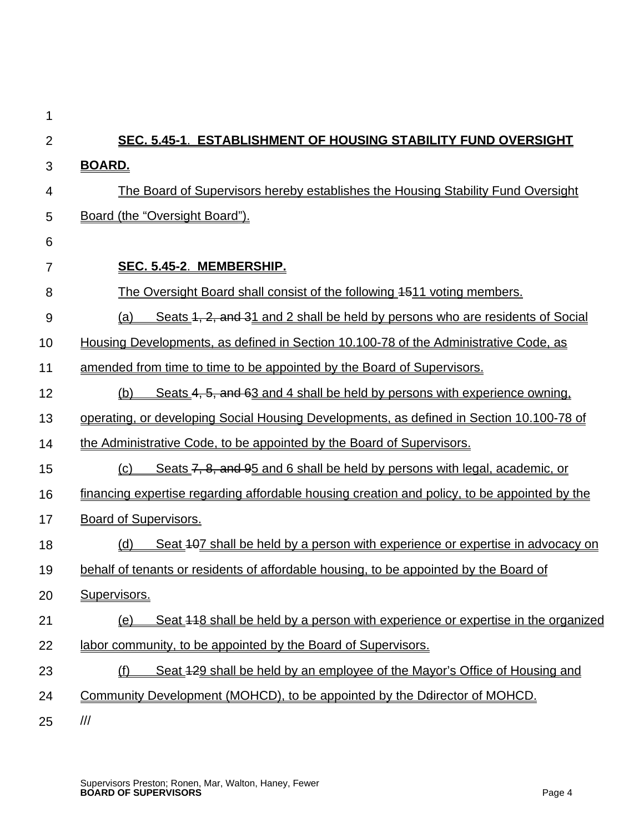| 1              |                                                                                                 |
|----------------|-------------------------------------------------------------------------------------------------|
| $\overline{2}$ | SEC. 5.45-1. ESTABLISHMENT OF HOUSING STABILITY FUND OVERSIGHT                                  |
| 3              | <u>BOARD.</u>                                                                                   |
| 4              | <u>The Board of Supervisors hereby establishes the Housing Stability Fund Oversight</u>         |
| 5              | Board (the "Oversight Board").                                                                  |
| 6              |                                                                                                 |
| 7              | SEC. 5.45-2. MEMBERSHIP.                                                                        |
| 8              | The Oversight Board shall consist of the following 4511 voting members.                         |
| 9              | Seats 1, 2, and 31 and 2 shall be held by persons who are residents of Social<br><u>(a)</u>     |
| 10             | Housing Developments, as defined in Section 10.100-78 of the Administrative Code, as            |
| 11             | <u>amended from time to time to be appointed by the Board of Supervisors.</u>                   |
| 12             | Seats 4, 5, and 63 and 4 shall be held by persons with experience owning.<br>(b)                |
| 13             | <u>operating, or developing Social Housing Developments, as defined in Section 10.100-78 of</u> |
| 14             | the Administrative Code, to be appointed by the Board of Supervisors.                           |
| 15             | Seats 7, 8, and 95 and 6 shall be held by persons with legal, academic, or<br>(c)               |
| 16             | financing expertise regarding affordable housing creation and policy, to be appointed by the    |
| 17             | <b>Board of Supervisors.</b>                                                                    |
| 18             | <u>Seat 407 shall be held by a person with experience or expertise in advocacy on</u><br>(d)    |
| 19             | behalf of tenants or residents of affordable housing, to be appointed by the Board of           |
| 20             | Supervisors.                                                                                    |
| 21             | Seat 448 shall be held by a person with experience or expertise in the organized<br><u>(e)</u>  |
| 22             | labor community, to be appointed by the Board of Supervisors.                                   |
| 23             | Seat 429 shall be held by an employee of the Mayor's Office of Housing and<br>(f)               |
| 24             | Community Development (MOHCD), to be appointed by the Delirector of MOHCD.                      |
| 25             | $\frac{1}{1}$                                                                                   |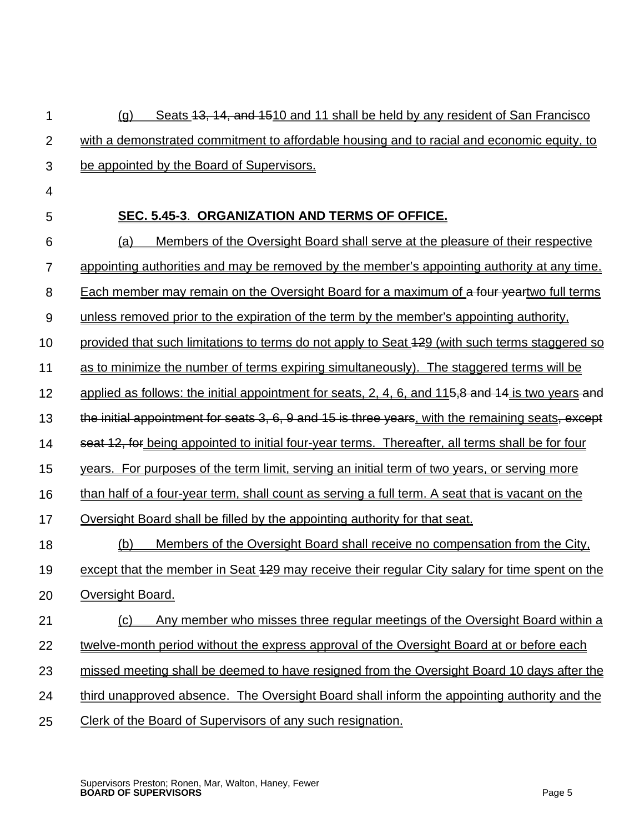| 1              | Seats 13, 14, and 1510 and 11 shall be held by any resident of San Francisco<br><u>(g)</u>        |
|----------------|---------------------------------------------------------------------------------------------------|
| $\overline{2}$ | with a demonstrated commitment to affordable housing and to racial and economic equity, to        |
| 3              | be appointed by the Board of Supervisors.                                                         |
| 4              |                                                                                                   |
| 5              | SEC. 5.45-3. ORGANIZATION AND TERMS OF OFFICE.                                                    |
| 6              | Members of the Oversight Board shall serve at the pleasure of their respective<br><u>(a)</u>      |
| $\overline{7}$ | appointing authorities and may be removed by the member's appointing authority at any time.       |
| 8              | Each member may remain on the Oversight Board for a maximum of a four yeartwo full terms          |
| 9              | unless removed prior to the expiration of the term by the member's appointing authority.          |
| 10             | provided that such limitations to terms do not apply to Seat 429 (with such terms staggered so    |
| 11             | as to minimize the number of terms expiring simultaneously). The staggered terms will be          |
| 12             | applied as follows: the initial appointment for seats, 2, 4, 6, and 115,8 and 14 is two years and |
| 13             | the initial appointment for seats 3, 6, 9 and 15 is three years, with the remaining seats, except |
| 14             | seat 12, for being appointed to initial four-year terms. Thereafter, all terms shall be for four  |
| 15             | years. For purposes of the term limit, serving an initial term of two years, or serving more      |
| 16             | than half of a four-year term, shall count as serving a full term. A seat that is vacant on the   |
| 17             | Oversight Board shall be filled by the appointing authority for that seat.                        |
| 18             | Members of the Oversight Board shall receive no compensation from the City,<br><u>(b)</u>         |
| 19             | except that the member in Seat 429 may receive their regular City salary for time spent on the    |
| 20             | Oversight Board.                                                                                  |
| 21             | Any member who misses three regular meetings of the Oversight Board within a<br>(c)               |
| 22             | twelve-month period without the express approval of the Oversight Board at or before each         |
| 23             | missed meeting shall be deemed to have resigned from the Oversight Board 10 days after the        |
| 24             | third unapproved absence. The Oversight Board shall inform the appointing authority and the       |
| 25             | Clerk of the Board of Supervisors of any such resignation.                                        |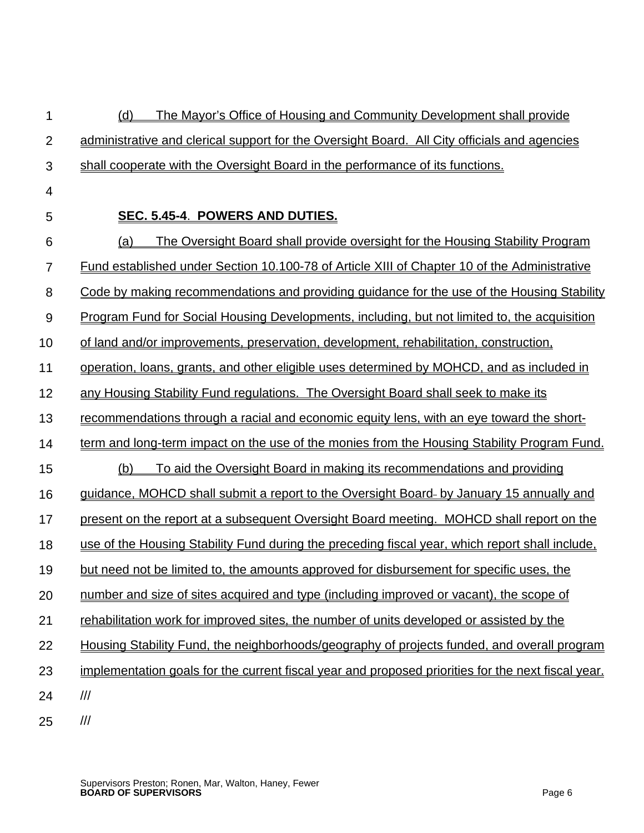| 1              | The Mayor's Office of Housing and Community Development shall provide<br><u>(d)</u>                 |
|----------------|-----------------------------------------------------------------------------------------------------|
| $\overline{2}$ | administrative and clerical support for the Oversight Board. All City officials and agencies        |
| 3              | shall cooperate with the Oversight Board in the performance of its functions.                       |
| 4              |                                                                                                     |
| 5              | SEC. 5.45-4. POWERS AND DUTIES.                                                                     |
| 6              | The Oversight Board shall provide oversight for the Housing Stability Program<br><u>(a)</u>         |
| 7              | <u>Fund established under Section 10.100-78 of Article XIII of Chapter 10 of the Administrative</u> |
| 8              | Code by making recommendations and providing guidance for the use of the Housing Stability          |
| $9\,$          | <u>Program Fund for Social Housing Developments, including, but not limited to, the acquisition</u> |
| 10             | of land and/or improvements, preservation, development, rehabilitation, construction,               |
| 11             | operation, loans, grants, and other eligible uses determined by MOHCD, and as included in           |
| 12             | any Housing Stability Fund regulations. The Oversight Board shall seek to make its                  |
| 13             | recommendations through a racial and economic equity lens, with an eye toward the short-            |
| 14             | term and long-term impact on the use of the monies from the Housing Stability Program Fund.         |
| 15             | To aid the Oversight Board in making its recommendations and providing<br><u>(b)</u>                |
| 16             | guidance, MOHCD shall submit a report to the Oversight Board- by January 15 annually and            |
| 17             | present on the report at a subsequent Oversight Board meeting. MOHCD shall report on the            |
| 18             | use of the Housing Stability Fund during the preceding fiscal year, which report shall include,     |
| 19             | but need not be limited to, the amounts approved for disbursement for specific uses, the            |
| 20             | number and size of sites acquired and type (including improved or vacant), the scope of             |
| 21             | rehabilitation work for improved sites, the number of units developed or assisted by the            |
| 22             | Housing Stability Fund, the neighborhoods/geography of projects funded, and overall program         |
| 23             | implementation goals for the current fiscal year and proposed priorities for the next fiscal year.  |
| 24             | $\frac{1}{1}$                                                                                       |
| 25             | $\ensuremath{\mathit{III}}\xspace$                                                                  |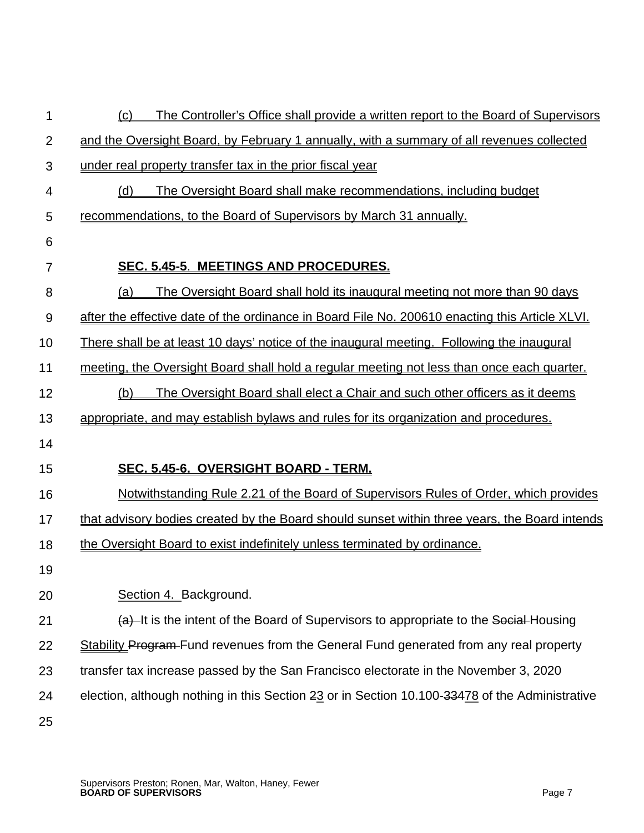| 1              | The Controller's Office shall provide a written report to the Board of Supervisors<br>(c)        |
|----------------|--------------------------------------------------------------------------------------------------|
| $\overline{2}$ | and the Oversight Board, by February 1 annually, with a summary of all revenues collected        |
| 3              | under real property transfer tax in the prior fiscal year                                        |
| 4              | The Oversight Board shall make recommendations, including budget<br>(d)                          |
| 5              | recommendations, to the Board of Supervisors by March 31 annually.                               |
| 6              |                                                                                                  |
| 7              | SEC. 5.45-5. MEETINGS AND PROCEDURES.                                                            |
| 8              | The Oversight Board shall hold its inaugural meeting not more than 90 days<br><u>(a)</u>         |
| 9              | after the effective date of the ordinance in Board File No. 200610 enacting this Article XLVI.   |
| 10             | <u>There shall be at least 10 days' notice of the inaugural meeting. Following the inaugural</u> |
| 11             | meeting, the Oversight Board shall hold a regular meeting not less than once each quarter.       |
| 12             | The Oversight Board shall elect a Chair and such other officers as it deems<br>(b)               |
| 13             | appropriate, and may establish bylaws and rules for its organization and procedures.             |
| 14             |                                                                                                  |
| 15             | <u>SEC. 5.45-6. OVERSIGHT BOARD - TERM.</u>                                                      |
| 16             | Notwithstanding Rule 2.21 of the Board of Supervisors Rules of Order, which provides             |
| 17             | that advisory bodies created by the Board should sunset within three years, the Board intends    |
| 18             | the Oversight Board to exist indefinitely unless terminated by ordinance.                        |
| 19             |                                                                                                  |
| 20             | Section 4. Background.                                                                           |
| 21             | (a) It is the intent of the Board of Supervisors to appropriate to the Social Housing            |
| 22             | <b>Stability Program-Fund revenues from the General Fund generated from any real property</b>    |
| 23             | transfer tax increase passed by the San Francisco electorate in the November 3, 2020             |
| 24             | election, although nothing in this Section 23 or in Section 10.100-33478 of the Administrative   |
| 25             |                                                                                                  |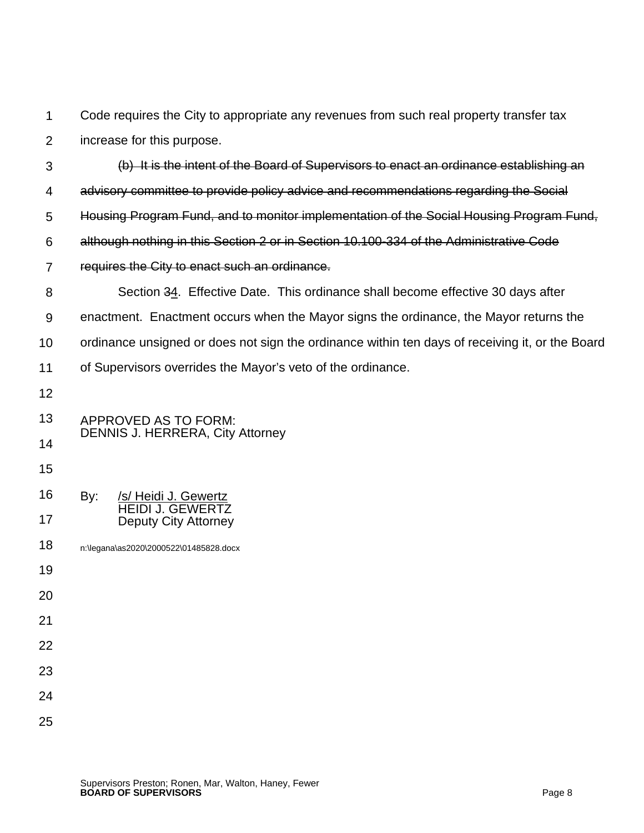1 2 Code requires the City to appropriate any revenues from such real property transfer tax increase for this purpose.

| 3  | (b) It is the intent of the Board of Supervisors to enact an ordinance establishing an          |
|----|-------------------------------------------------------------------------------------------------|
| 4  | advisory committee to provide policy advice and recommendations regarding the Social            |
| 5  | Housing Program Fund, and to monitor implementation of the Social Housing Program Fund,         |
| 6  | although nothing in this Section 2 or in Section 10.100-334 of the Administrative Code          |
| 7  | requires the City to enact such an ordinance.                                                   |
| 8  | Section 34. Effective Date. This ordinance shall become effective 30 days after                 |
| 9  | enactment. Enactment occurs when the Mayor signs the ordinance, the Mayor returns the           |
| 10 | ordinance unsigned or does not sign the ordinance within ten days of receiving it, or the Board |
| 11 | of Supervisors overrides the Mayor's veto of the ordinance.                                     |
| 12 |                                                                                                 |
| 13 | APPROVED AS TO FORM:                                                                            |
| 14 | <b>DENNIS J. HERRERA, City Attorney</b>                                                         |
| 15 |                                                                                                 |
| 16 | By:<br>/s/ Heidi J. Gewertz                                                                     |
| 17 | <b>HEIDI J. GEWERTZ</b><br><b>Deputy City Attorney</b>                                          |
| 18 | n:\legana\as2020\2000522\01485828.docx                                                          |
| 19 |                                                                                                 |
| 20 |                                                                                                 |
| 21 |                                                                                                 |
| 22 |                                                                                                 |
| 23 |                                                                                                 |
| 24 |                                                                                                 |
| 25 |                                                                                                 |